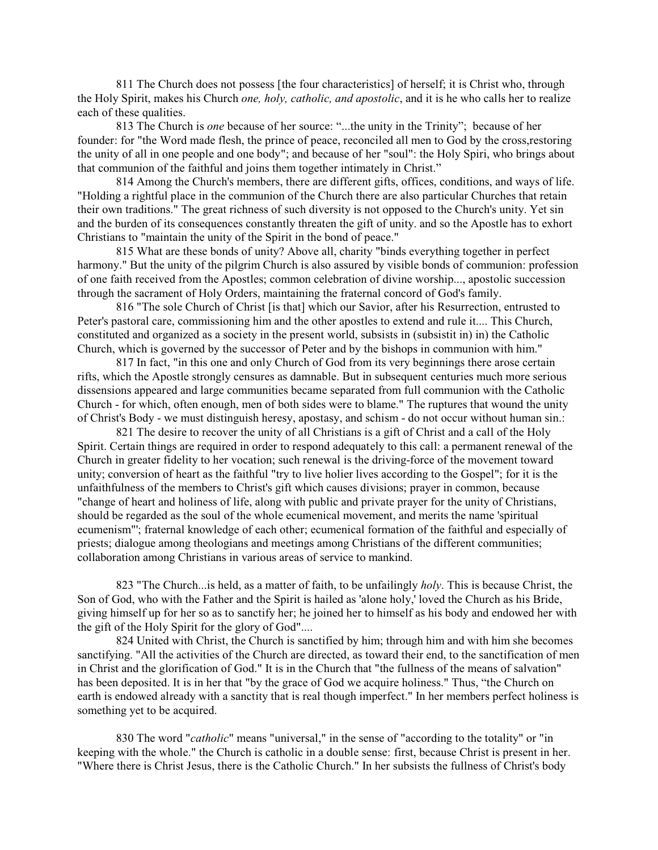811 The Church does not possess [the four characteristics] of herself; it is Christ who, through the Holy Spirit, makes his Church *one, holy, catholic, and apostolic*, and it is he who calls her to realize each of these qualities.

813 The Church is *one* because of her source: "...the unity in the Trinity"; because of her founder: for "the Word made flesh, the prince of peace, reconciled all men to God by the cross,restoring the unity of all in one people and one body"; and because of her "soul": the Holy Spiri, who brings about that communion of the faithful and joins them together intimately in Christ."

814 Among the Church's members, there are different gifts, offices, conditions, and ways of life. "Holding a rightful place in the communion of the Church there are also particular Churches that retain their own traditions." The great richness of such diversity is not opposed to the Church's unity. Yet sin and the burden of its consequences constantly threaten the gift of unity. and so the Apostle has to exhort Christians to "maintain the unity of the Spirit in the bond of peace."

815 What are these bonds of unity? Above all, charity "binds everything together in perfect harmony." But the unity of the pilgrim Church is also assured by visible bonds of communion: profession of one faith received from the Apostles; common celebration of divine worship..., apostolic succession through the sacrament of Holy Orders, maintaining the fraternal concord of God's family.

816 "The sole Church of Christ [is that] which our Savior, after his Resurrection, entrusted to Peter's pastoral care, commissioning him and the other apostles to extend and rule it.... This Church, constituted and organized as a society in the present world, subsists in (subsistit in) in) the Catholic Church, which is governed by the successor of Peter and by the bishops in communion with him."

817 In fact, "in this one and only Church of God from its very beginnings there arose certain rifts, which the Apostle strongly censures as damnable. But in subsequent centuries much more serious dissensions appeared and large communities became separated from full communion with the Catholic Church - for which, often enough, men of both sides were to blame." The ruptures that wound the unity of Christ's Body - we must distinguish heresy, apostasy, and schism - do not occur without human sin.:

821 The desire to recover the unity of all Christians is a gift of Christ and a call of the Holy Spirit. Certain things are required in order to respond adequately to this call: a permanent renewal of the Church in greater fidelity to her vocation; such renewal is the driving-force of the movement toward unity; conversion of heart as the faithful "try to live holier lives according to the Gospel"; for it is the unfaithfulness of the members to Christ's gift which causes divisions; prayer in common, because "change of heart and holiness of life, along with public and private prayer for the unity of Christians, should be regarded as the soul of the whole ecumenical movement, and merits the name 'spiritual ecumenism"'; fraternal knowledge of each other; ecumenical formation of the faithful and especially of priests; dialogue among theologians and meetings among Christians of the different communities; collaboration among Christians in various areas of service to mankind.

823 "The Church...is held, as a matter of faith, to be unfailingly *holy*. This is because Christ, the Son of God, who with the Father and the Spirit is hailed as 'alone holy,' loved the Church as his Bride, giving himself up for her so as to sanctify her; he joined her to himself as his body and endowed her with the gift of the Holy Spirit for the glory of God"....

824 United with Christ, the Church is sanctified by him; through him and with him she becomes sanctifying. "All the activities of the Church are directed, as toward their end, to the sanctification of men in Christ and the glorification of God." It is in the Church that "the fullness of the means of salvation" has been deposited. It is in her that "by the grace of God we acquire holiness." Thus, "the Church on earth is endowed already with a sanctity that is real though imperfect." In her members perfect holiness is something yet to be acquired.

830 The word "*catholic*" means "universal," in the sense of "according to the totality" or "in keeping with the whole." the Church is catholic in a double sense: first, because Christ is present in her. "Where there is Christ Jesus, there is the Catholic Church." In her subsists the fullness of Christ's body